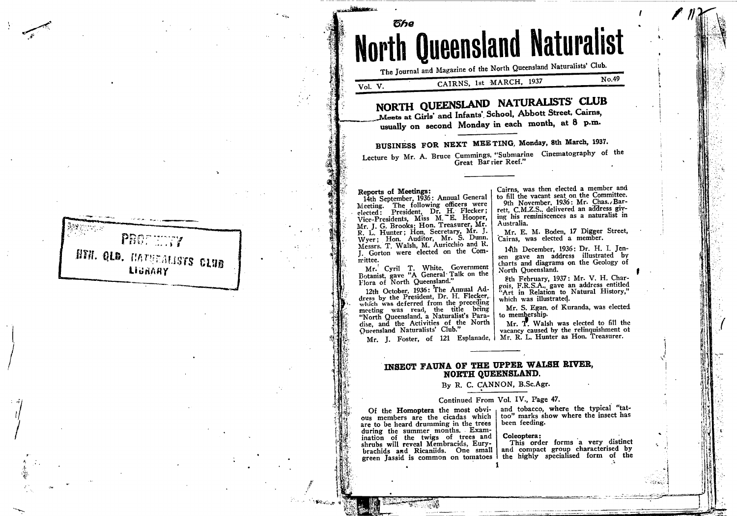PROFILITY NTH. QLD. HATHEALISTS CLUB LIGRAHY

# The Journal and Magazine of the North Queensland Naturalists' Club. CAIRNS, 1st MARCH, 1937 Vol. V. NORTH QUEENSLAND NATURALISTS' CLUB Meets at Girls' and Infants' School, Abbott Street, Cairns,

usually on second Monday in each month, at 8 p.m.

# BUSINESS FOR NEXT MEETING, Monday, 8th March, 1937.

**th Queensland Naturalist** 

Lecture by Mr. A. Bruce Cummings, "Submarine Cinematography of the Great Barrier Reef."

Australia.

North Queensland.

which was illustrated.

### Reports of Meetings:

წჩe

14th September, 1936: Annual General Meeting. The following officers were elected: President, Dr. H. Flecker; Vice-Presidents, Miss M. E. Hooper, Mr. J. G. Brooks; Hon. Treasurer, Mr. N. J. Hunter; Hon. Beretary, Mr. J.<br>R. L. Hunter; Hon. Auditor, Mr. S. Dunn.<br>Myer; Hon. Auditor, Mr. S. Dunn.<br>Messrs. T. Walsh, M. Auricchio and R. J. Gorton were elected on the Committee.

Mr. Cyril T. White, Government<br>Botanist, gave "A General Talk on the Flora of North Queensland."

12th October, 1936: The Annual Address by the President, Dr. H. Flecker,. which was deferred from the preceding meeting was read, the title being "North Queensland, a Naturalist's Paradise, and the Activities of the North Queensland Naturalists' Club."

to membership. Mr. T. Walsh was elected to fill the vacancy caused by the relinquishment of Mr. J. Foster, of 121 Esplanade, | Mr. R. L. Hunter as Hon. Treasurer.

Cairns, was then elected a member and

to fill the vacant seat on the Committee.

rett, C.M.Z.S., delivered an address giv-

ing his reminiscences as a naturalist in

9th November, 1936: Mr. Chas., Bar-

Mr. E. M. Boden, 17 Digger Street,

14th December, 1936; Dr. H. I. Jen-

sen gave an address illustrated by

charts and diagrams on the Geology of

8th February, 1937: Mr. V. H. Char-

Mr. S. Egan. of Kuranda, was elected

gois, F.R.S.A., gave an address entitled<br>"Art in Relation to Natural History,"

Cairns, was elected a member.

No.49

## INSECT FAUNA OF THE UPPER WALSH RIVER. NORTH QUEENSLAND.

## By R. C. CANNON, B.Sc.Agr.

## Continued From Vol. IV., Page 47.

Of the Homoptera the most obvious members are the cicadas which are to be heard drumming in the trees during the summer months. Examination of the twigs of trees and shrubs will reveal Membracids, Eurybrachids and Ricaniids. One small

and tobacco, where the typical "tattoo" marks show where the insect has been feeding.

#### Coleoptera:

This order forms a very distinct and compact group characterised by green Jassid is common on tomatoes | the highly specialised form of the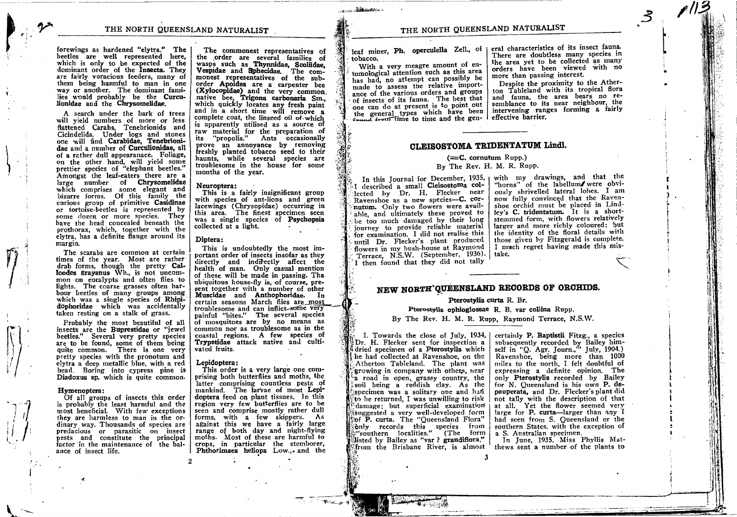forewings as hardened "etytra." The beetles are well represented here, which is only to be expected of the dominant order of the Insecta. They are fairly voracious feeders, many of way or another. The dominant families would probably be the Curculionidae and the Chrysomelidac.

<sup>A</sup>search under the bark of trees will yield numbers of more or less flattened Carabs, Tenebrionids and<br>Cicindelids. Under logs and stones<br>one will find Carabidae, Tenebrionidae and a number of Curculionidae, all of a rather dull appearanace. Foliage, on the other hand, will yield sonre prettier species of "elephant beetles"' Amongst the leaf-eaters there are a large number of Chrysomelidae which comprises some elegant and bizarre forms. Of this fanrily the curious group ol primitive Casidinae or tortoise-beetles is represented. by some dozen or more species. They have the head concealed beneath the prothorax, which, together with the elytra, has a definite flange around its margin.

The scarabs are common at certain times of the year. Most are rather drab forms, though the pretty Calloodes Erayanus Wh., is not uncommon on eucalypts and often flies to lights. The coarse grasses often harbour beetles of many groups among which was a single species of Rhipidophoridae which was accidentally taken resting on a stalk of grass.

Probably the most beautiful of all insects are the Buprestidae or "jewel beetles." Several very pretty species are to be found, some of them being quite common. There is one very pretty species with the pronotum and elytra a deep metatlic blue, with a red head. Boring into cypress pine is Diadoxus sp. which is quite common.

#### Hymenoptera:

 $\left(\frac{1}{2}\right)^{1/2}$  $\#I$ tI

 $\cdot$ - $\cdot$ ?  $\frac{1}{2}$ 

 $\left( \frac{1}{2},\frac{1}{2}\right)$ 

 $\overline{\mathcal{L}}$ 

I I

Of all groups of insects this order is probably the least harnrful and the most beneficial. With fevr exceptions they are harmless to man in the ordinary way. Thousands of species are<br>predacious or parasitic on insect pests and constitute the principal factor in the maintenance of the balance of insect life.

The commonest representatives of<br>the order are several families of wasps such as Thynnidae, Scoliidae, Vespidae and Sphecidae. The commonest representatives of the suborder Apoidea are a carpenter bee native bee, Trigona carbonaria Sm... which quickly locates any fresh paint and in a short time will remove a complete coat, the linseed oit of.which is apparently utilised as a source of raw material for the preparation of its "propolis." Ants occasionally prove an annoyance by removing freshly planted tobacco seed to their haunts, while several species are troublesome in the house for some months of the year.

#### Neuroptera:

This is a fairly insignificant group with species of ant-lions and green lacewings (Chrysopidae) occurring in this area. The finest specimen seen was a single species of Psychopsis collected at a light.

### Diptera:

This is undoubtedly the most im-<br>portant order of insects insofar as they directly and indirectly affect the health of man. Only casual mention of these will be made in passing. The ubiquitous house-fly is, of course, present together with a number of other Muscidae and Anthophoridae. In certain seasons March flies are\_most troublesome and can inflict-some very painful "bites." The several species of mosquitoes are by no means as common nor as troublesome as in the coastal regions. A few species of Trypetidae attack native and cultivated fruits.

### Lepidoptera:

This order is a very large one comprising both butterflies and moths, thelatter comprising countless pests of mankind. The larvae of most Lepidoptera feed on plant tissues. In this region very few butterfies are to be seen and comprise mostly rather dull forms, with a few skippers. As against this we have a fairly large<br>range of both day and night-flying moths. Most of these are harmful to crops, in particular the stcmborer, Phthorimaea heliopa Low., and the

 $r_{\rm{esc}}$   $\sim$   $4$ 

## THE NORTH QUEENSLAND NATURALIST

tobacco.

With a very meagre amount of entomological attention such as this area has had, no attempt can possibly be ance of the various orders and groups ad, no attempt can possibly be<br>to assess the relative importof insects of its fauna. The best that of insects of its fauna. The best that<br>one can do at present is to point out the general types which have been intervening rand the general types which have been intervening rand

 $\frac{1}{1}$ leaf miner, Ph. operculella Zell., of eral characteristics of its insect fauna. There are doubtless many species in the area yet to be collected as many orders have been viewed with no more than passing interest.

ii\*!. ;i-.i l-:,1  $\mathbb{R}^2$ 

l. I I

Despite the proximity to the Atherton Tableland with its tropical flora and fauna, the area bears no resemblance to its near neighbour, the intervening ranges forming a fairly

## CLEISOSTOMA TRIDENTATUM Lindl.

### $(=C.$  cornutum Rupp.)

### By The Rev. H. M. R. RUPP.

I described a small Cleisostoma collected by Dr. H. Flecker near Ravenshoe as a new species-C. cor-<br>nutum. Only two flowers were available, and ultimately these proved to be too much damaged by their long iourney to provide reliable material for examination. I did not realise this until Dr. Flecker's plant produced<br>flowers in my bush-house at Raymond Terrace, N.S.W. (September, 1936). I then found that they did not tally

In this Journal for December,  $1935$ , with my drawings, and that the "horns" of the labellum/ were obviously shrivelled lateral lohes. I am now fully convinced that the Ravenshoe orchid must be placed in Lindley's C. tridentatum. It is a shortstemmed form, with flowers relatively larger and more richly coloured: but the identity of the floral details with those given hy Fitzgerald is conplete. I much regret having made this mistake.

 $\mathcal{L}$ 

# NEW NORTH'QUEENSLAND RECORDS OF ORCHIDS.

### Pterostylis curta R. Br.

## Pterostylis ophioglossae R. B. var collina Rupp. By The Rev. H. M. R. Rupp, Raymond Terrace, N.S.W.

listed by Bailey as "var ? grandiflora," from the Brisbane River, is almost he had collected at Ravenshoe, on the Atherton Tableland. The plant was growing in company with others, near a road in open, grassy country, the isoil being a reddish clay. As the 1. Towards the close of July, 1934, Dr. H. Flecker sent for inspection a idried specimen of a Pterostylis which specimen was a solitary one and had ito be returned. I was unwilling to risk sonly records this species from 'southern localities." (The form <sup>\*</sup>damage; but superficial examination isuggested a very well-developed form Fof P. curta. The "Queensland Flora"

certainly P. Baptistii Fitzg., a species subsequently recorded by Bailey hinrself in "Q. Agr. Journ.," July, 1904.) Ravenshoe, being more than <sup>1000</sup> nulles to the north, I felt doubtful of expressing a definite opinion. The only Pterostylis recorded by Bailey for N. Queensland is his own P. depauperata, and Dr. Flecker's plant did not tally with the description of that at all. Yet the flower seemed very large for  $P$ . curta-larger than any  $I$ had seen from S. Queensland or the southern States, with the exception of a S. Australian specimen.

In June, 1935, Miss Phyllis Matthews sent a number of the plants to